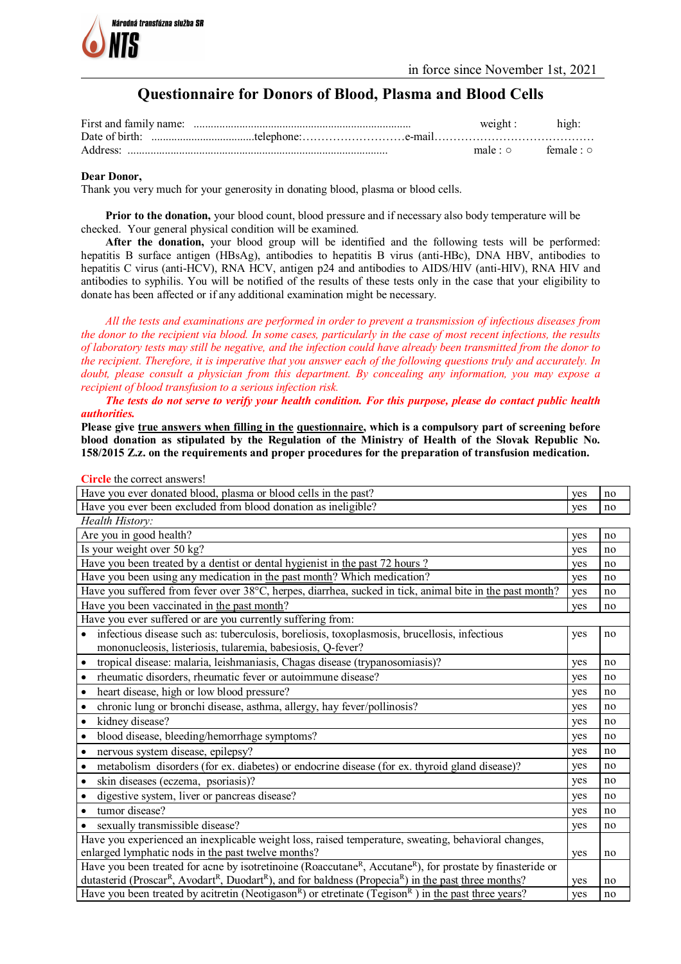

**Circle** the correct answers!

# **Questionnaire for Donors of Blood, Plasma and Blood Cells**

| weight : high: |                               |
|----------------|-------------------------------|
|                |                               |
|                | $male: \circ$ female: $\circ$ |

#### **Dear Donor,**

Thank you very much for your generosity in donating blood, plasma or blood cells.

**Prior to the donation,** your blood count, blood pressure and if necessary also body temperature will be checked. Your general physical condition will be examined.

**After the donation,** your blood group will be identified and the following tests will be performed: hepatitis B surface antigen (HBsAg), antibodies to hepatitis B virus (anti-HBc), DNA HBV, antibodies to hepatitis C virus (anti-HCV), RNA HCV, antigen p24 and antibodies to AIDS/HIV (anti-HIV), RNA HIV and antibodies to syphilis. You will be notified of the results of these tests only in the case that your eligibility to donate has been affected or if any additional examination might be necessary.

*All the tests and examinations are performed in order to prevent a transmission of infectious diseases from the donor to the recipient via blood. In some cases, particularly in the case of most recent infections, the results of laboratory tests may still be negative, and the infection could have already been transmitted from the donor to the recipient. Therefore, it is imperative that you answer each of the following questions truly and accurately. In doubt, please consult a physician from this department. By concealing any information, you may expose a recipient of blood transfusion to a serious infection risk.* 

*The tests do not serve to verify your health condition. For this purpose, please do contact public health authorities.*

**Please give true answers when filling in the questionnaire, which is a compulsory part of screening before blood donation as stipulated by the Regulation of the Ministry of Health of the Slovak Republic No. 158/2015 Z.z. on the requirements and proper procedures for the preparation of transfusion medication.** 

| Have you ever donated blood, plasma or blood cells in the past?                                                                                       | yes | no |
|-------------------------------------------------------------------------------------------------------------------------------------------------------|-----|----|
| Have you ever been excluded from blood donation as ineligible?                                                                                        | yes | no |
| Health History:                                                                                                                                       |     |    |
| Are you in good health?                                                                                                                               | yes | no |
| Is your weight over 50 kg?                                                                                                                            | yes | no |
| Have you been treated by a dentist or dental hygienist in the past 72 hours ?                                                                         | yes | no |
| Have you been using any medication in the past month? Which medication?                                                                               | yes | no |
| Have you suffered from fever over 38°C, herpes, diarrhea, sucked in tick, animal bite in the past month?                                              | yes | no |
| Have you been vaccinated in the past month?                                                                                                           | yes | no |
| Have you ever suffered or are you currently suffering from:                                                                                           |     |    |
| infectious disease such as: tuberculosis, boreliosis, toxoplasmosis, brucellosis, infectious                                                          | yes | no |
| mononucleosis, listeriosis, tularemia, babesiosis, Q-fever?                                                                                           |     |    |
| $\bullet$<br>tropical disease: malaria, leishmaniasis, Chagas disease (trypanosomiasis)?                                                              | yes | no |
| rheumatic disorders, rheumatic fever or autoimmune disease?<br>$\bullet$                                                                              | yes | no |
| heart disease, high or low blood pressure?<br>$\bullet$                                                                                               | yes | no |
| chronic lung or bronchi disease, asthma, allergy, hay fever/pollinosis?<br>$\bullet$                                                                  | yes | no |
| kidney disease?<br>$\bullet$                                                                                                                          | yes | no |
| blood disease, bleeding/hemorrhage symptoms?<br>$\bullet$                                                                                             | yes | no |
| nervous system disease, epilepsy?<br>$\bullet$                                                                                                        | yes | no |
| metabolism disorders (for ex. diabetes) or endocrine disease (for ex. thyroid gland disease)?<br>$\bullet$                                            | yes | no |
| skin diseases (eczema, psoriasis)?<br>$\bullet$                                                                                                       | yes | no |
| digestive system, liver or pancreas disease?                                                                                                          | yes | no |
| tumor disease?<br>$\bullet$                                                                                                                           | yes | no |
| sexually transmissible disease?<br>$\bullet$                                                                                                          | yes | no |
| Have you experienced an inexplicable weight loss, raised temperature, sweating, behavioral changes,                                                   |     |    |
| enlarged lymphatic nods in the past twelve months?                                                                                                    | yes | no |
| Have you been treated for acne by isotretinoine (Roaccutane <sup>R</sup> , Accutane <sup>R</sup> ), for prostate by finasteride or                    |     |    |
| dutasterid (Proscar <sup>R</sup> , Avodart <sup>R</sup> , Duodart <sup>R</sup> ), and for baldness (Propecia <sup>R</sup> ) in the past three months? | yes | no |
| Have you been treated by acitretin (Neotigason <sup>R</sup> ) or etretinate (Tegison <sup>R</sup> ) in the past three years?                          | yes | no |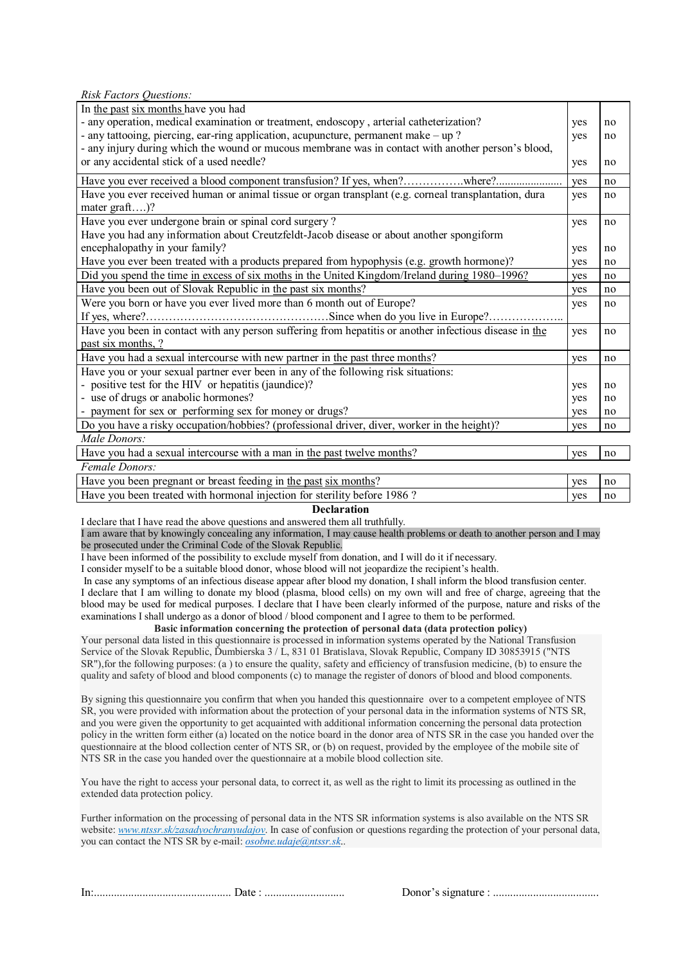*Risk Factors Questions:*

| In the past six months have you had                                                                                                 |     |    |  |  |  |
|-------------------------------------------------------------------------------------------------------------------------------------|-----|----|--|--|--|
| - any operation, medical examination or treatment, endoscopy, arterial catheterization?                                             |     |    |  |  |  |
| - any tattooing, piercing, ear-ring application, acupuncture, permanent make - up?                                                  |     |    |  |  |  |
| - any injury during which the wound or mucous membrane was in contact with another person's blood,                                  |     |    |  |  |  |
| or any accidental stick of a used needle?                                                                                           | yes | no |  |  |  |
| Have you ever received a blood component transfusion? If yes, when?where?                                                           | yes | no |  |  |  |
| Have you ever received human or animal tissue or organ transplant (e.g. corneal transplantation, dura                               | yes | no |  |  |  |
| mater graft)?                                                                                                                       |     |    |  |  |  |
| Have you ever undergone brain or spinal cord surgery?                                                                               | yes | no |  |  |  |
| Have you had any information about Creutzfeldt-Jacob disease or about another spongiform                                            |     |    |  |  |  |
| encephalopathy in your family?                                                                                                      | yes | no |  |  |  |
| Have you ever been treated with a products prepared from hypophysis (e.g. growth hormone)?                                          | yes | no |  |  |  |
| Did you spend the time in excess of six moths in the United Kingdom/Ireland during 1980–1996?                                       | yes | no |  |  |  |
| Have you been out of Slovak Republic in the past six months?                                                                        | yes | no |  |  |  |
| Were you born or have you ever lived more than 6 month out of Europe?                                                               | yes | no |  |  |  |
|                                                                                                                                     |     |    |  |  |  |
| Have you been in contact with any person suffering from hepatitis or another infectious disease in the                              | yes | no |  |  |  |
| past six months, ?                                                                                                                  |     |    |  |  |  |
| Have you had a sexual intercourse with new partner in the past three months?                                                        | yes | no |  |  |  |
| Have you or your sexual partner ever been in any of the following risk situations:                                                  |     |    |  |  |  |
| - positive test for the HIV or hepatitis (jaundice)?                                                                                |     |    |  |  |  |
| - use of drugs or anabolic hormones?                                                                                                |     |    |  |  |  |
| - payment for sex or performing sex for money or drugs?                                                                             |     |    |  |  |  |
| Do you have a risky occupation/hobbies? (professional driver, diver, worker in the height)?                                         | yes | no |  |  |  |
| Male Donors:                                                                                                                        |     |    |  |  |  |
| Have you had a sexual intercourse with a man in the past twelve months?                                                             | yes | no |  |  |  |
| Female Donors:                                                                                                                      |     |    |  |  |  |
| $\mathbf{r} = \mathbf{r}$ and $\mathbf{r} = \mathbf{r}$ and $\mathbf{r} = \mathbf{r}$ and $\mathbf{r} = \mathbf{r}$<br>$\mathbf{A}$ |     |    |  |  |  |

| Have you been pregnant or breast feeding in the past six months?         | ves        |  |
|--------------------------------------------------------------------------|------------|--|
| Have you been treated with hormonal injection for sterility before 1986? | <b>ves</b> |  |
|                                                                          |            |  |

**Declaration**

I declare that I have read the above questions and answered them all truthfully.

I am aware that by knowingly concealing any information, I may cause health problems or death to another person and I may be prosecuted under the Criminal Code of the Slovak Republic.

I have been informed of the possibility to exclude myself from donation, and I will do it if necessary.

I consider myself to be a suitable blood donor, whose blood will not jeopardize the recipient's health.

In case any symptoms of an infectious disease appear after blood my donation, I shall inform the blood transfusion center. I declare that I am willing to donate my blood (plasma, blood cells) on my own will and free of charge, agreeing that the blood may be used for medical purposes. I declare that I have been clearly informed of the purpose, nature and risks of the examinations I shall undergo as a donor of blood / blood component and I agree to them to be performed.

**Basic information concerning the protection of personal data (data protection policy)**

Your personal data listed in this questionnaire is processed in information systems operated by the National Transfusion Service of the Slovak Republic, Ďumbierska 3 / L, 831 01 Bratislava, Slovak Republic, Company ID 30853915 ("NTS SR"),for the following purposes: (a ) to ensure the quality, safety and efficiency of transfusion medicine, (b) to ensure the quality and safety of blood and blood components (c) to manage the register of donors of blood and blood components.

By signing this questionnaire you confirm that when you handed this questionnaire over to a competent employee of NTS SR, you were provided with information about the protection of your personal data in the information systems of NTS SR, and you were given the opportunity to get acquainted with additional information concerning the personal data protection policy in the written form either (a) located on the notice board in the donor area of NTS SR in the case you handed over the questionnaire at the blood collection center of NTS SR, or (b) on request, provided by the employee of the mobile site of NTS SR in the case you handed over the questionnaire at a mobile blood collection site.

You have the right to access your personal data, to correct it, as well as the right to limit its processing as outlined in the extended data protection policy.

Further information on the processing of personal data in the NTS SR information systems is also available on the NTS SR website: *www.ntssr.sk/zasadyochranyudajov*. In case of confusion or questions regarding the protection of your personal data, you can contact the NTS SR by e-mail: *osobne.udaje@ntssr.sk*..

In:................................................ Date : ............................ Donor's signature : .....................................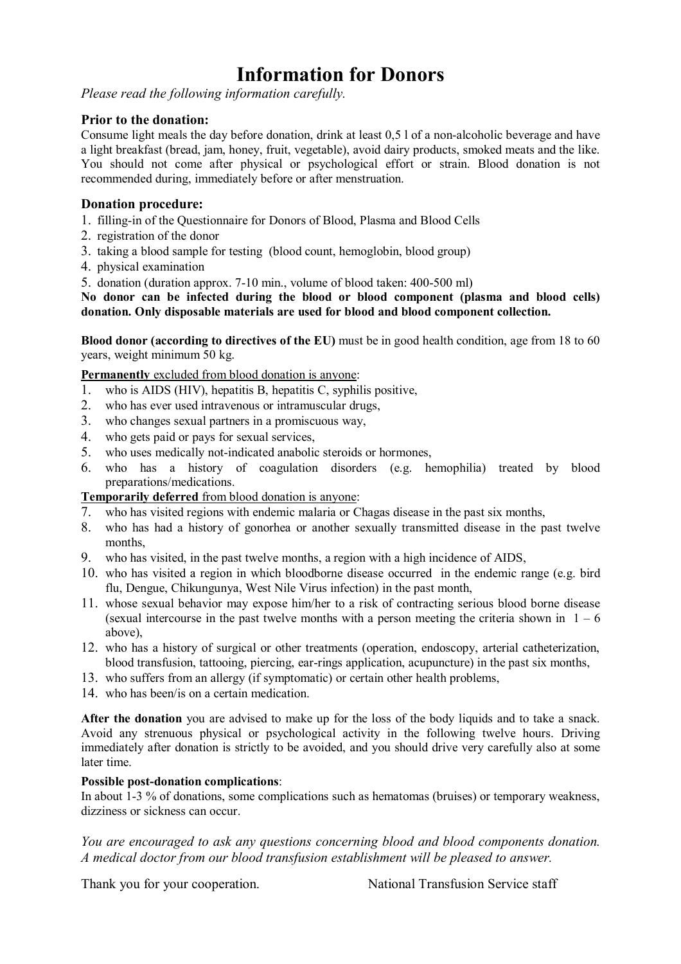# **Information for Donors**

*Please read the following information carefully.*

# **Prior to the donation:**

Consume light meals the day before donation, drink at least 0,5 l of a non-alcoholic beverage and have a light breakfast (bread, jam, honey, fruit, vegetable), avoid dairy products, smoked meats and the like. You should not come after physical or psychological effort or strain. Blood donation is not recommended during, immediately before or after menstruation.

# **Donation procedure:**

- 1. filling-in of the Questionnaire for Donors of Blood, Plasma and Blood Cells
- 2. registration of the donor
- 3. taking a blood sample for testing (blood count, hemoglobin, blood group)
- 4. physical examination

5. donation (duration approx. 7-10 min., volume of blood taken: 400-500 ml)

# **No donor can be infected during the blood or blood component (plasma and blood cells) donation. Only disposable materials are used for blood and blood component collection.**

**Blood donor (according to directives of the EU)** must be in good health condition, age from 18 to 60 years, weight minimum 50 kg.

**Permanently** excluded from blood donation is anyone:

- 1. who is AIDS (HIV), hepatitis B, hepatitis C, syphilis positive,
- 2. who has ever used intravenous or intramuscular drugs,
- 3. who changes sexual partners in a promiscuous way,
- 4. who gets paid or pays for sexual services,
- 5. who uses medically not-indicated anabolic steroids or hormones,
- 6. who has a history of coagulation disorders (e.g. hemophilia) treated by blood preparations/medications.

**Temporarily deferred** from blood donation is anyone:

- 7. who has visited regions with endemic malaria or Chagas disease in the past six months,
- 8. who has had a history of gonorhea or another sexually transmitted disease in the past twelve months,
- 9. who has visited, in the past twelve months, a region with a high incidence of AIDS,
- 10. who has visited a region in which bloodborne disease occurred in the endemic range (e.g. bird flu, Dengue, Chikungunya, West Nile Virus infection) in the past month,
- 11. whose sexual behavior may expose him/her to a risk of contracting serious blood borne disease (sexual intercourse in the past twelve months with a person meeting the criteria shown in  $1 - 6$ above),
- 12. who has a history of surgical or other treatments (operation, endoscopy, arterial catheterization, blood transfusion, tattooing, piercing, ear-rings application, acupuncture) in the past six months,
- 13. who suffers from an allergy (if symptomatic) or certain other health problems,
- 14. who has been/is on a certain medication.

**After the donation** you are advised to make up for the loss of the body liquids and to take a snack. Avoid any strenuous physical or psychological activity in the following twelve hours. Driving immediately after donation is strictly to be avoided, and you should drive very carefully also at some later time.

#### **Possible post-donation complications**:

In about 1-3 % of donations, some complications such as hematomas (bruises) or temporary weakness, dizziness or sickness can occur.

*You are encouraged to ask any questions concerning blood and blood components donation. A medical doctor from our blood transfusion establishment will be pleased to answer.*

Thank you for your cooperation. National Transfusion Service staff